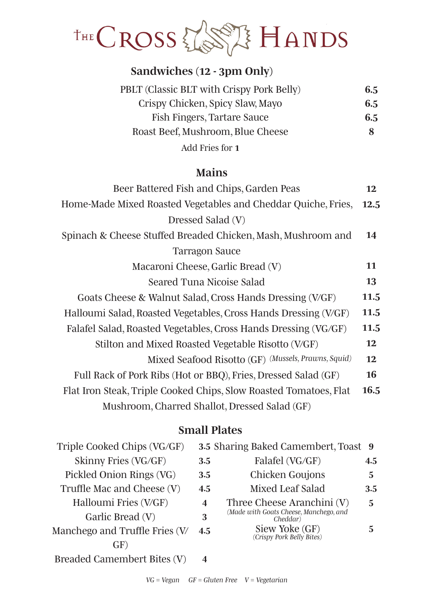

# *Sandwiches (12 - 3pm Only)*

| PBLT (Classic BLT with Crispy Pork Belly) | 6.5 |
|-------------------------------------------|-----|
| Crispy Chicken, Spicy Slaw, Mayo          | 6.5 |
| Fish Fingers, Tartare Sauce               | 6.5 |
| Roast Beef, Mushroom, Blue Cheese         | 8   |
| Add Fries for 1                           |     |

### *Mains*

| Beer Battered Fish and Chips, Garden Peas                         |      |  |
|-------------------------------------------------------------------|------|--|
| Home-Made Mixed Roasted Vegetables and Cheddar Quiche, Fries,     | 12.5 |  |
| Dressed Salad (V)                                                 |      |  |
| Spinach & Cheese Stuffed Breaded Chicken, Mash, Mushroom and      | 14   |  |
| <b>Tarragon Sauce</b>                                             |      |  |
| Macaroni Cheese, Garlic Bread (V)                                 | 11   |  |
| Seared Tuna Nicoise Salad                                         | 13   |  |
| Goats Cheese & Walnut Salad, Cross Hands Dressing (V/GF)          | 11.5 |  |
| Halloumi Salad, Roasted Vegetables, Cross Hands Dressing (V/GF)   | 11.5 |  |
| Falafel Salad, Roasted Vegetables, Cross Hands Dressing (VG/GF)   | 11.5 |  |
| Stilton and Mixed Roasted Vegetable Risotto (V/GF)                |      |  |
| Mixed Seafood Risotto (GF) (Mussels, Prawns, Squid)               | 12   |  |
| Full Rack of Pork Ribs (Hot or BBQ), Fries, Dressed Salad (GF)    | 16   |  |
| Flat Iron Steak, Triple Cooked Chips, Slow Roasted Tomatoes, Flat | 16.5 |  |
| Mushroom, Charred Shallot, Dressed Salad (GF)                     |      |  |

## *Small Plates*

| Triple Cooked Chips (VG/GF)    |                         | 3.5 Sharing Baked Camembert, Toast 9               |     |
|--------------------------------|-------------------------|----------------------------------------------------|-----|
| Skinny Fries (VG/GF)           | 3.5                     | Falafel (VG/GF)                                    | 4.5 |
| Pickled Onion Rings (VG)       | 3.5                     | Chicken Goujons                                    | 5.  |
| Truffle Mac and Cheese (V)     | 4.5                     | Mixed Leaf Salad                                   | 3.5 |
| Halloumi Fries (V/GF)          | $\overline{\mathbf{4}}$ | Three Cheese Aranchini (V)                         | 5   |
| Garlic Bread (V)               | 3                       | (Made with Goats Cheese, Manchego, and<br>Cheddar) |     |
| Manchego and Truffle Fries (V/ | 4.5                     | Siew Yoke (GF)<br>(Crispy Pork Belly Bites)        | 5   |
| GF)                            |                         |                                                    |     |
| Breaded Camembert Bites (V)    | 4                       |                                                    |     |